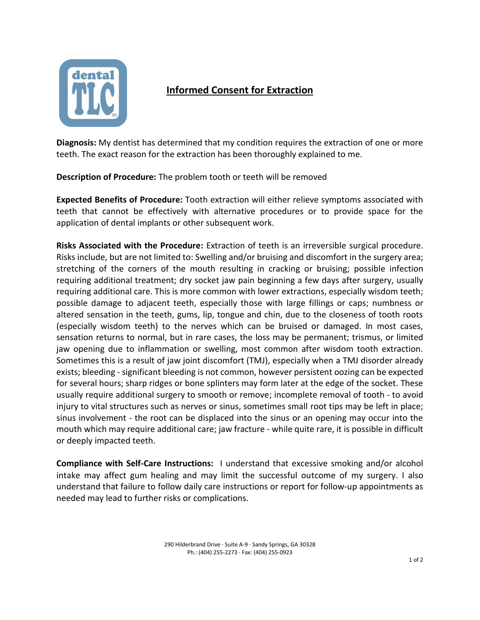

## **Informed Consent for Extraction**

**Diagnosis:** My dentist has determined that my condition requires the extraction of one or more teeth. The exact reason for the extraction has been thoroughly explained to me.

**Description of Procedure:** The problem tooth or teeth will be removed

**Expected Benefits of Procedure:** Tooth extraction will either relieve symptoms associated with teeth that cannot be effectively with alternative procedures or to provide space for the application of dental implants or other subsequent work.

**Risks Associated with the Procedure:** Extraction of teeth is an irreversible surgical procedure. Risks include, but are not limited to: Swelling and/or bruising and discomfort in the surgery area; stretching of the corners of the mouth resulting in cracking or bruising; possible infection requiring additional treatment; dry socket jaw pain beginning a few days after surgery, usually requiring additional care. This is more common with lower extractions, especially wisdom teeth; possible damage to adjacent teeth, especially those with large fillings or caps; numbness or altered sensation in the teeth, gums, lip, tongue and chin, due to the closeness of tooth roots (especially wisdom teeth) to the nerves which can be bruised or damaged. In most cases, sensation returns to normal, but in rare cases, the loss may be permanent; trismus, or limited jaw opening due to inflammation or swelling, most common after wisdom tooth extraction. Sometimes this is a result of jaw joint discomfort (TMJ), especially when a TMJ disorder already exists; bleeding - significant bleeding is not common, however persistent oozing can be expected for several hours; sharp ridges or bone splinters may form later at the edge of the socket. These usually require additional surgery to smooth or remove; incomplete removal of tooth - to avoid injury to vital structures such as nerves or sinus, sometimes small root tips may be left in place; sinus involvement - the root can be displaced into the sinus or an opening may occur into the mouth which may require additional care; jaw fracture - while quite rare, it is possible in difficult or deeply impacted teeth.

**Compliance with Self‐Care Instructions:** I understand that excessive smoking and/or alcohol intake may affect gum healing and may limit the successful outcome of my surgery. I also understand that failure to follow daily care instructions or report for follow-up appointments as needed may lead to further risks or complications.